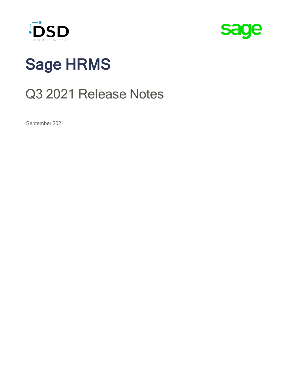



# Sage HRMS

# Q3 2021 Release Notes

September 2021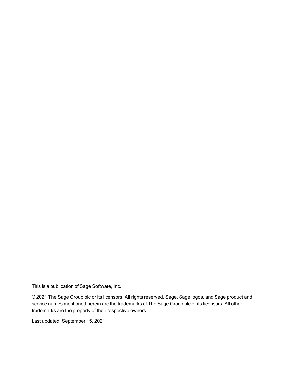This is a publication of Sage Software, Inc.

© 2021 The Sage Group plc or its licensors. All rights reserved. Sage, Sage logos, and Sage product and service names mentioned herein are the trademarks of The Sage Group plc or its licensors. All other trademarks are the property of their respective owners.

Last updated: September 15, 2021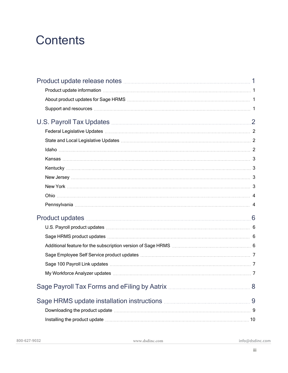# **Contents**

| U.S. Payroll Tax Updates <b>Manual According to Payroll Tax</b> 2                                                                                                                                                             |                |
|-------------------------------------------------------------------------------------------------------------------------------------------------------------------------------------------------------------------------------|----------------|
|                                                                                                                                                                                                                               |                |
|                                                                                                                                                                                                                               |                |
|                                                                                                                                                                                                                               |                |
|                                                                                                                                                                                                                               |                |
|                                                                                                                                                                                                                               |                |
|                                                                                                                                                                                                                               |                |
|                                                                                                                                                                                                                               |                |
|                                                                                                                                                                                                                               |                |
|                                                                                                                                                                                                                               |                |
|                                                                                                                                                                                                                               |                |
| U.S. Payroll product updates manufactured and contact the control of the control of the U.S. Payroll product updates                                                                                                          |                |
|                                                                                                                                                                                                                               |                |
|                                                                                                                                                                                                                               |                |
|                                                                                                                                                                                                                               |                |
|                                                                                                                                                                                                                               |                |
|                                                                                                                                                                                                                               |                |
|                                                                                                                                                                                                                               | 8 <sup>1</sup> |
|                                                                                                                                                                                                                               |                |
| Downloading the product update manufactured and contact the product of the set of the set of the product update                                                                                                               |                |
| Installing the product update manufactured and the control of the state of the state of the state of the state of the state of the state of the state of the state of the state of the state of the state of the state of the |                |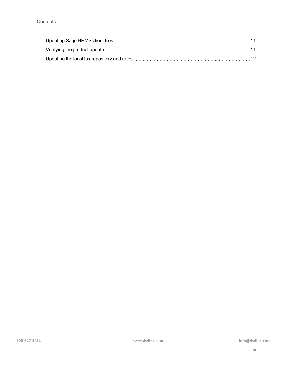| Verifying the product update measurements are not applicable to the product update measurement. 11 |  |
|----------------------------------------------------------------------------------------------------|--|
|                                                                                                    |  |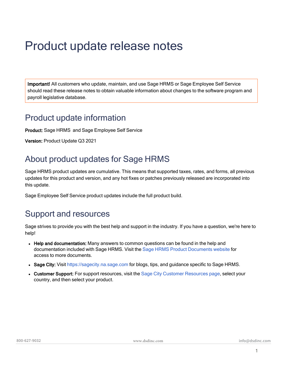# <span id="page-4-0"></span>Product update release notes

Important! All customers who update, maintain, and use Sage HRMS or Sage Employee Self Service should read these release notes to obtain valuable information about changes to the software program and payroll legislative database.

### <span id="page-4-1"></span>Product update information

Product: Sage HRMS and Sage Employee Self Service

<span id="page-4-2"></span>Version: Product Update Q3 2021

### About product updates for Sage HRMS

Sage HRMS product updates are cumulative. This means that supported taxes, rates, and forms, all previous updates for this product and version, and any hot fixes or patches previously released are incorporated into this update.

<span id="page-4-3"></span>Sage Employee Self Service product updates include the full product build.

### Support and resources

Sage strives to provide you with the best help and support in the industry. If you have a question, we're here to help!

- Help and documentation: Many answers to common questions can be found in the help and documentation included with Sage HRMS. Visit the [Sage HRMS Product Documents website](http://cdn.na.sage.com/docs/en/customer/hrms/documentation.htm) for access to more documents.
- Sage City: Visit [https://sagecity.na.sage.com](http://sagecity.na.sage.com/support_communities/sage_hrms/) for blogs, tips, and guidance specific to Sage HRMS.
- Customer Support: For support resources, visit the [Sage City Customer Resources page,](https://www.sagecity.com/global-resources) select your country, and then select your product.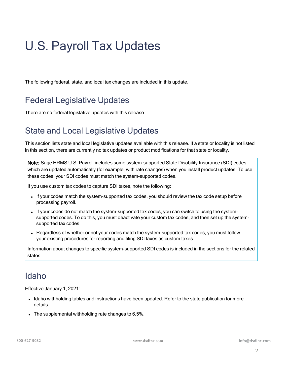# <span id="page-5-0"></span>U.S. Payroll Tax Updates

<span id="page-5-1"></span>The following federal, state, and local tax changes are included in this update.

### Federal Legislative Updates

<span id="page-5-2"></span>There are no federal legislative updates with this release.

### State and Local Legislative Updates

This section lists state and local legislative updates available with this release. If a state or locality is not listed in this section, there are currently no tax updates or product modifications for that state or locality.

Note: Sage HRMS U.S. Payroll includes some system-supported State Disability Insurance (SDI) codes, which are updated automatically (for example, with rate changes) when you install product updates. To use these codes, your SDI codes must match the system-supported codes.

If you use custom tax codes to capture SDI taxes, note the following:

- If your codes match the system-supported tax codes, you should review the tax code setup before processing payroll.
- If your codes do not match the system-supported tax codes, you can switch to using the systemsupported codes. To do this, you must deactivate your custom tax codes, and then set up the systemsupported tax codes.
- Regardless of whether or not your codes match the system-supported tax codes, you must follow your existing procedures for reporting and filing SDI taxes as custom taxes.

Information about changes to specific system-supported SDI codes is included in the sections for the related states.

### <span id="page-5-3"></span>Idaho

Effective January 1, 2021:

- Idaho withholding tables and instructions have been updated. Refer to the state publication for more details.
- $\bullet$  The supplemental withholding rate changes to 6.5%.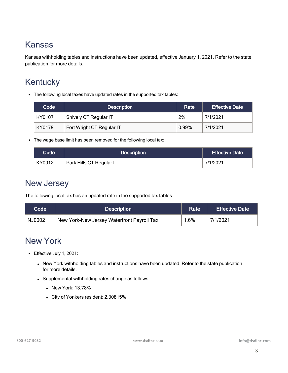### <span id="page-6-0"></span>Kansas

Kansas withholding tables and instructions have been updated, effective January 1, 2021. Refer to the state publication for more details.

### <span id="page-6-1"></span>**Kentucky**

• The following local taxes have updated rates in the supported tax tables:

| Code   | <b>Description</b>        | Rate  | <b>Effective Date</b> |
|--------|---------------------------|-------|-----------------------|
| KY0107 | Shively CT Regular IT     | 2%    | 7/1/2021              |
| KY0178 | Fort Wright CT Regular IT | 0.99% | 7/1/2021              |

• The wage base limit has been removed for the following local tax:

| Code   | <b>Description</b>       | <b>Effective Date</b> |
|--------|--------------------------|-----------------------|
| KY0012 | Park Hills CT Regular IT | 7/1/2021              |

### <span id="page-6-2"></span>New Jersey

The following local tax has an updated rate in the supported tax tables:

| <b>Code</b> | <b>Description</b>                         | Rate | <b>Effective Date</b> |
|-------------|--------------------------------------------|------|-----------------------|
| NJ0002      | New York-New Jersey Waterfront Payroll Tax | 1.6% | 7/1/2021              |

### <span id="page-6-3"></span>New York

- Effective July 1, 2021:
	- New York withholding tables and instructions have been updated. Refer to the state publication for more details.
	- Supplemental withholding rates change as follows:
		- New York: 13.78%
		- City of Yonkers resident: 2.30815%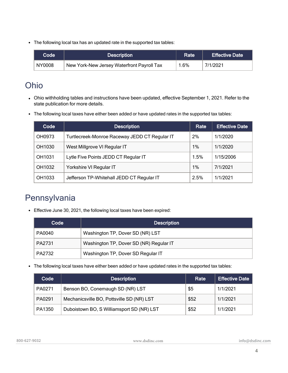• The following local tax has an updated rate in the supported tax tables:

| $\mathsf{Code}^{\mathsf{!}}$ | <b>Description</b>                         | Rate | <b>Effective Date</b> |
|------------------------------|--------------------------------------------|------|-----------------------|
| NY0008                       | New York-New Jersey Waterfront Payroll Tax | 1.6% | 7/1/2021              |

### <span id="page-7-0"></span>Ohio

- Ohio withholding tables and instructions have been updated, effective September 1, 2021. Refer to the state publication for more details.
- The following local taxes have either been added or have updated rates in the supported tax tables:

| Code   | <b>Description</b>                            | Rate  | <b>Effective Date</b> |
|--------|-----------------------------------------------|-------|-----------------------|
| OH0973 | Turtlecreek-Monroe Raceway JEDD CT Regular IT | 2%    | 1/1/2020              |
| OH1030 | West Millgrove VI Regular IT                  | 1%    | 1/1/2020              |
| OH1031 | Lytle Five Points JEDD CT Regular IT          | 1.5%  | 1/15/2006             |
| OH1032 | Yorkshire VI Regular IT                       | $1\%$ | 7/1/2021              |
| OH1033 | Jefferson TP-Whitehall JEDD CT Regular IT     | 2.5%  | 1/1/2021              |

### <span id="page-7-1"></span>Pennsylvania

• Effective June 30, 2021, the following local taxes have been expired:

| Code   | <b>Description</b>                      |
|--------|-----------------------------------------|
| PA0040 | Washington TP, Dover SD (NR) LST        |
| PA2731 | Washington TP, Dover SD (NR) Regular IT |
| PA2732 | Washington TP, Dover SD Regular IT      |

• The following local taxes have either been added or have updated rates in the supported tax tables:

| Code   | <b>Description</b>                        | Rate | <b>Effective Date</b> |
|--------|-------------------------------------------|------|-----------------------|
| PA0271 | Benson BO, Conemaugh SD (NR) LST          | \$5  | 1/1/2021              |
| PA0291 | Mechanicsville BO, Pottsville SD (NR) LST | \$52 | 1/1/2021              |
| PA1350 | Duboistown BO, S Williamsport SD (NR) LST | \$52 | 1/1/2021              |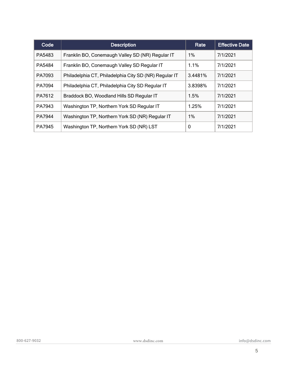| Co <sub>d</sub> | <b>Description</b>                                    | Rate    | <b>Effective Date</b> |
|-----------------|-------------------------------------------------------|---------|-----------------------|
| PA5483          | Franklin BO, Conemaugh Valley SD (NR) Regular IT      | 1%      | 7/1/2021              |
| PA5484          | Franklin BO, Conemaugh Valley SD Regular IT           | 1.1%    | 7/1/2021              |
| PA7093          | Philadelphia CT, Philadelphia City SD (NR) Regular IT | 3.4481% | 7/1/2021              |
| PA7094          | Philadelphia CT, Philadelphia City SD Regular IT      | 3.8398% | 7/1/2021              |
| PA7612          | Braddock BO, Woodland Hills SD Regular IT             | 1.5%    | 7/1/2021              |
| PA7943          | Washington TP, Northern York SD Regular IT            | 1.25%   | 7/1/2021              |
| PA7944          | Washington TP, Northern York SD (NR) Regular IT       | 1%      | 7/1/2021              |
| PA7945          | Washington TP, Northern York SD (NR) LST              | 0       | 7/1/2021              |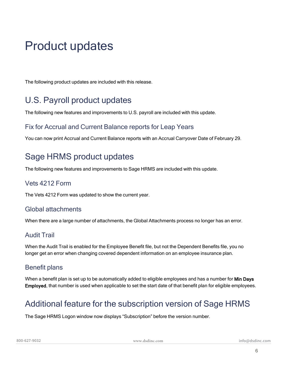# <span id="page-9-0"></span>Product updates

<span id="page-9-1"></span>The following product updates are included with this release.

### U.S. Payroll product updates

The following new features and improvements to U.S. payroll are included with this update.

#### Fix for Accrual and Current Balance reports for Leap Years

<span id="page-9-2"></span>You can now print Accrual and Current Balance reports with an Accrual Carryover Date of February 29.

### Sage HRMS product updates

The following new features and improvements to Sage HRMS are included with this update.

#### Vets 4212 Form

The Vets 4212 Form was updated to show the current year.

#### Global attachments

When there are a large number of attachments, the Global Attachments process no longer has an error.

#### Audit Trail

When the Audit Trail is enabled for the Employee Benefit file, but not the Dependent Benefits file, you no longer get an error when changing covered dependent information on an employee insurance plan.

#### Benefit plans

When a benefit plan is set up to be automatically added to eligible employees and has a number for Min Days Employed, that number is used when applicable to set the start date of that benefit plan for eligible employees.

### <span id="page-9-3"></span>Additional feature for the subscription version of Sage HRMS

The Sage HRMS Logon window now displays "Subscription" before the version number.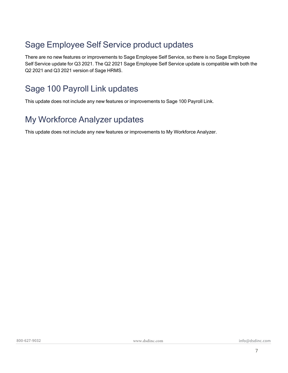### <span id="page-10-0"></span>Sage Employee Self Service product updates

There are no new features or improvements to Sage Employee Self Service, so there is no Sage Employee Self Service update for Q3 2021. The Q2 2021 Sage Employee Self Service update is compatible with both the Q2 2021 and Q3 2021 version of Sage HRMS.

### <span id="page-10-1"></span>Sage 100 Payroll Link updates

<span id="page-10-2"></span>This update does not include any new features or improvements to Sage 100 Payroll Link.

### My Workforce Analyzer updates

This update does not include any new features or improvements to My Workforce Analyzer.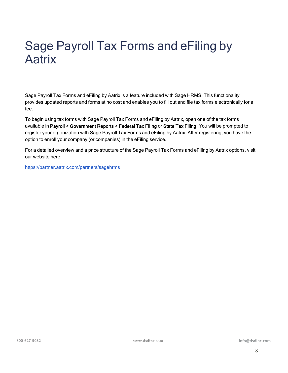# <span id="page-11-0"></span>Sage Payroll Tax Forms and eFiling by **Aatrix**

Sage Payroll Tax Forms and eFiling by Aatrix is a feature included with Sage HRMS. This functionality provides updated reports and forms at no cost and enables you to fill out and file tax forms electronically for a fee.

To begin using tax forms with Sage Payroll Tax Forms and eFiling by Aatrix, open one of the tax forms available in Payroll > Government Reports > Federal Tax Filing or State Tax Filing. You will be prompted to register your organization with Sage Payroll Tax Forms and eFiling by Aatrix. After registering, you have the option to enroll your company (or companies) in the eFiling service.

For a detailed overview and a price structure of the Sage Payroll Tax Forms and eFiling by Aatrix options, visit our website here:

<https://partner.aatrix.com/partners/sagehrms>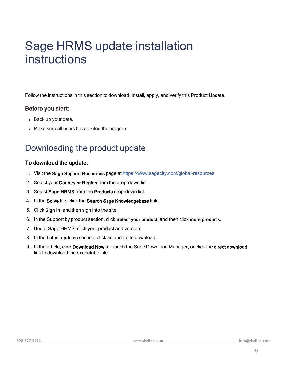# <span id="page-12-0"></span>Sage HRMS update installation instructions

Follow the instructions in this section to download, install, apply, and verify this Product Update.

#### Before you start:

- Back up your data.
- <span id="page-12-1"></span>• Make sure all users have exited the program.

### Downloading the product update

#### To download the update:

- 1. Visit the Sage Support Resources page at [https://www.sagecity.com/global-resources.](https://www.sagecity.com/global-resources?referral=dsd)
- 2. Select your Country or Region from the drop-down list.
- 3. Select Sage HRMS from the Products drop-down list.
- 4. In the Solve tile, click the Search Sage Knowledgebase link.
- 5. Click Sign In, and then sign into the site.
- 6. In the Support by product section, click Select your product, and then click more products.
- 7. Under Sage HRMS, click your product and version.
- 8. In the Latest updates section, click an update to download.
- 9. In the article, click Download Now to launch the Sage Download Manager, or click the direct download link to download the executable file.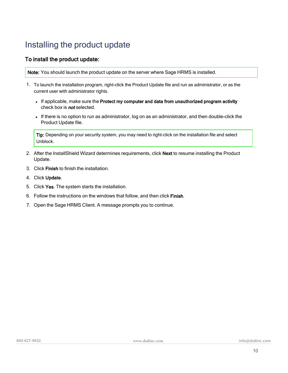### <span id="page-13-0"></span>Installing the product update

#### To install the product update:

Note: You should launch the product update on the server where Sage HRMS is installed.

- 1. To launch the installation program, right-click the Product Update file and run as administrator, or as the current user with administrator rights.
	- If applicable, make sure the Protect my computer and data from unauthorized program activity check box is **not** selected.
	- If there is no option to run as administrator, log on as an administrator, and then double-click the Product Update file.

Tip: Depending on your security system, you may need to right-click on the installation file and select Unblock.

- 2. After the InstallShield Wizard determines requirements, click Next to resume installing the Product Update.
- 3. Click Finish to finish the installation.
- 4. Click Update.
- 5. Click Yes. The system starts the installation.
- 6. Follow the instructions on the windows that follow, and then click Finish.
- 7. Open the Sage HRMS Client. A message prompts you to continue.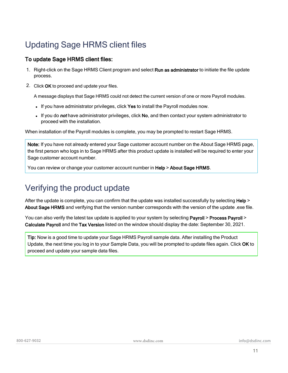### <span id="page-14-0"></span>Updating Sage HRMS client files

#### To update Sage HRMS client files:

- 1. Right-click on the Sage HRMS Client program and select Run as administrator to initiate the file update process.
- 2. Click OK to proceed and update your files.

A message displays that Sage HRMS could not detect the current version of one or more Payroll modules.

- . If you have administrator privileges, click Yes to install the Payroll modules now.
- If you do not have administrator privileges, click No, and then contact your system administrator to proceed with the installation.

When installation of the Payroll modules is complete, you may be prompted to restart Sage HRMS.

Note: If you have not already entered your Sage customer account number on the About Sage HRMS page, the first person who logs in to Sage HRMS after this product update is installed will be required to enter your Sage customer account number.

<span id="page-14-1"></span>You can review or change your customer account number in Help > About Sage HRMS.

### Verifying the product update

After the update is complete, you can confirm that the update was installed successfully by selecting Help > About Sage HRMS and verifying that the version number corresponds with the version of the update .exe file.

You can also verify the latest tax update is applied to your system by selecting Payroll > Process Payroll > Calculate Payroll and the Tax Version listed on the window should display the date: September 30, 2021.

Tip: Now is a good time to update your Sage HRMS Payroll sample data. After installing the Product Update, the next time you log in to your Sample Data, you will be prompted to update files again. Click OK to proceed and update your sample data files.